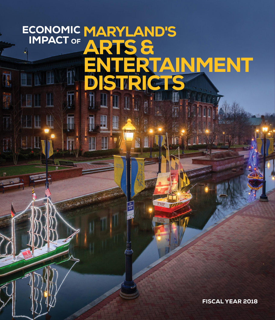# MARYLAND'S ARTS & *TAINMENT* DISTRICTS ECONOMIC IMPACT OF

PMP

**EQUIPMENT IMPACT** 

FISCAL YEAR 2018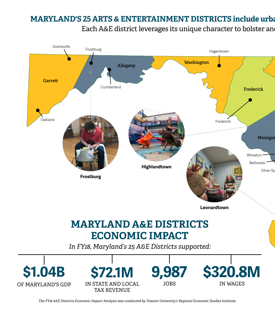## **MARYLAND'S 25 ARTS & ENTERTAINMENT DISTRICTS include urban** Each A&E district leverages its unique character to bolster and



*The FY18 A&E Districts Economic Impact Analysis was conducted by Towson University's Regional Economic Studies Institute.*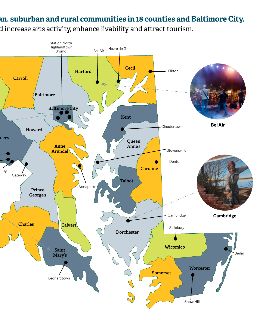### **ARYLAND** 20 ARTS 2011 MED INCOCIDE UP. Also, suburban and Faltimore City. d increase arts activity, enhance livability and attract tourism.